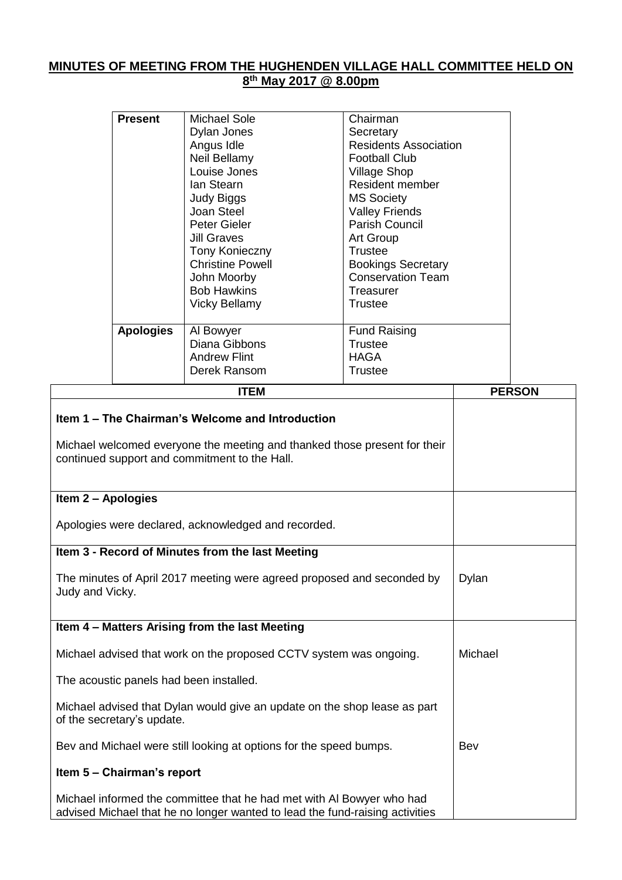## **MINUTES OF MEETING FROM THE HUGHENDEN VILLAGE HALL COMMITTEE HELD ON 8 th May 2017 @ 8.00pm**

|                                                     | <b>Present</b>   | <b>Michael Sole</b>                                                                                                        | Chairman                     |  |               |
|-----------------------------------------------------|------------------|----------------------------------------------------------------------------------------------------------------------------|------------------------------|--|---------------|
|                                                     |                  | Dylan Jones                                                                                                                | Secretary                    |  |               |
|                                                     |                  | Angus Idle                                                                                                                 | <b>Residents Association</b> |  |               |
|                                                     |                  | Neil Bellamy                                                                                                               | <b>Football Club</b>         |  |               |
|                                                     |                  | Louise Jones                                                                                                               | <b>Village Shop</b>          |  |               |
|                                                     |                  | lan Stearn                                                                                                                 | <b>Resident member</b>       |  |               |
|                                                     |                  | <b>Judy Biggs</b>                                                                                                          | <b>MS Society</b>            |  |               |
|                                                     |                  | Joan Steel                                                                                                                 | <b>Valley Friends</b>        |  |               |
|                                                     |                  | Peter Gieler                                                                                                               | Parish Council               |  |               |
|                                                     |                  | <b>Jill Graves</b>                                                                                                         | Art Group                    |  |               |
|                                                     |                  | Tony Konieczny                                                                                                             | <b>Trustee</b>               |  |               |
|                                                     |                  | <b>Christine Powell</b>                                                                                                    | <b>Bookings Secretary</b>    |  |               |
|                                                     |                  | John Moorby                                                                                                                | <b>Conservation Team</b>     |  |               |
|                                                     |                  | <b>Bob Hawkins</b>                                                                                                         | Treasurer                    |  |               |
|                                                     |                  | <b>Vicky Bellamy</b>                                                                                                       | <b>Trustee</b>               |  |               |
|                                                     | <b>Apologies</b> | Al Bowyer                                                                                                                  | <b>Fund Raising</b>          |  |               |
|                                                     |                  | Diana Gibbons                                                                                                              | <b>Trustee</b>               |  |               |
|                                                     |                  | <b>Andrew Flint</b>                                                                                                        | <b>HAGA</b>                  |  |               |
|                                                     |                  | Derek Ransom                                                                                                               | <b>Trustee</b>               |  |               |
|                                                     |                  | <b>ITEM</b>                                                                                                                |                              |  | <b>PERSON</b> |
|                                                     |                  | Item 1 – The Chairman's Welcome and Introduction                                                                           |                              |  |               |
|                                                     |                  | Michael welcomed everyone the meeting and thanked those present for their<br>continued support and commitment to the Hall. |                              |  |               |
| Item 2 - Apologies                                  |                  |                                                                                                                            |                              |  |               |
| Apologies were declared, acknowledged and recorded. |                  |                                                                                                                            |                              |  |               |
|                                                     |                  | Item 3 - Record of Minutes from the last Meeting                                                                           |                              |  |               |

The minutes of April 2017 meeting were agreed proposed and seconded by Judy and Vicky. Dylan

## **Item 4 – Matters Arising from the last Meeting**

Michael advised that work on the proposed CCTV system was ongoing. The acoustic panels had been installed. Michael advised that Dylan would give an update on the shop lease as part of the secretary's update. Bev and Michael were still looking at options for the speed bumps. **Item 5 – Chairman's report** Michael Bev

Michael informed the committee that he had met with Al Bowyer who had advised Michael that he no longer wanted to lead the fund-raising activities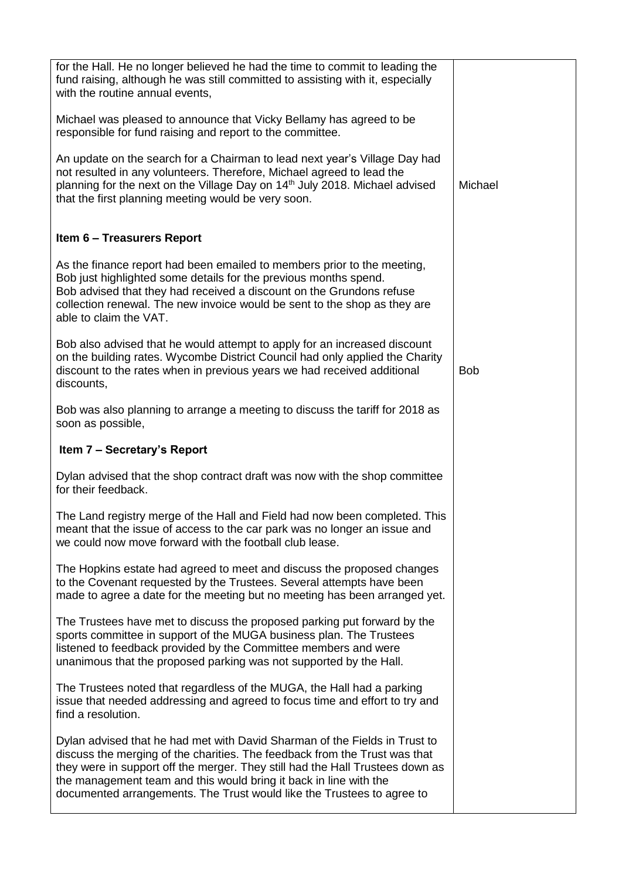| for the Hall. He no longer believed he had the time to commit to leading the<br>fund raising, although he was still committed to assisting with it, especially<br>with the routine annual events,                                                                                                                                                                                        |            |
|------------------------------------------------------------------------------------------------------------------------------------------------------------------------------------------------------------------------------------------------------------------------------------------------------------------------------------------------------------------------------------------|------------|
| Michael was pleased to announce that Vicky Bellamy has agreed to be<br>responsible for fund raising and report to the committee.                                                                                                                                                                                                                                                         |            |
| An update on the search for a Chairman to lead next year's Village Day had<br>not resulted in any volunteers. Therefore, Michael agreed to lead the<br>planning for the next on the Village Day on 14 <sup>th</sup> July 2018. Michael advised<br>that the first planning meeting would be very soon.                                                                                    | Michael    |
| <b>Item 6 - Treasurers Report</b>                                                                                                                                                                                                                                                                                                                                                        |            |
| As the finance report had been emailed to members prior to the meeting,<br>Bob just highlighted some details for the previous months spend.<br>Bob advised that they had received a discount on the Grundons refuse<br>collection renewal. The new invoice would be sent to the shop as they are<br>able to claim the VAT.                                                               |            |
| Bob also advised that he would attempt to apply for an increased discount<br>on the building rates. Wycombe District Council had only applied the Charity<br>discount to the rates when in previous years we had received additional<br>discounts,                                                                                                                                       | <b>Bob</b> |
| Bob was also planning to arrange a meeting to discuss the tariff for 2018 as<br>soon as possible,                                                                                                                                                                                                                                                                                        |            |
| Item 7 – Secretary's Report                                                                                                                                                                                                                                                                                                                                                              |            |
| Dylan advised that the shop contract draft was now with the shop committee<br>for their feedback.                                                                                                                                                                                                                                                                                        |            |
| The Land registry merge of the Hall and Field had now been completed. This<br>meant that the issue of access to the car park was no longer an issue and<br>we could now move forward with the football club lease.                                                                                                                                                                       |            |
| The Hopkins estate had agreed to meet and discuss the proposed changes<br>to the Covenant requested by the Trustees. Several attempts have been<br>made to agree a date for the meeting but no meeting has been arranged yet.                                                                                                                                                            |            |
| The Trustees have met to discuss the proposed parking put forward by the<br>sports committee in support of the MUGA business plan. The Trustees<br>listened to feedback provided by the Committee members and were<br>unanimous that the proposed parking was not supported by the Hall.                                                                                                 |            |
| The Trustees noted that regardless of the MUGA, the Hall had a parking<br>issue that needed addressing and agreed to focus time and effort to try and<br>find a resolution.                                                                                                                                                                                                              |            |
| Dylan advised that he had met with David Sharman of the Fields in Trust to<br>discuss the merging of the charities. The feedback from the Trust was that<br>they were in support off the merger. They still had the Hall Trustees down as<br>the management team and this would bring it back in line with the<br>documented arrangements. The Trust would like the Trustees to agree to |            |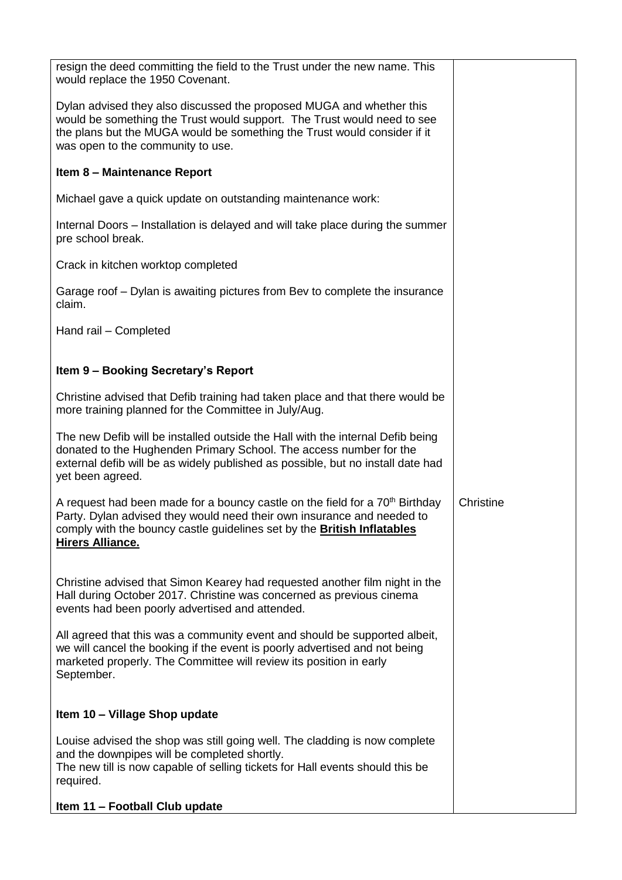| resign the deed committing the field to the Trust under the new name. This<br>would replace the 1950 Covenant.                                                                                                                                                                  |           |
|---------------------------------------------------------------------------------------------------------------------------------------------------------------------------------------------------------------------------------------------------------------------------------|-----------|
| Dylan advised they also discussed the proposed MUGA and whether this<br>would be something the Trust would support. The Trust would need to see<br>the plans but the MUGA would be something the Trust would consider if it<br>was open to the community to use.                |           |
| Item 8 - Maintenance Report                                                                                                                                                                                                                                                     |           |
| Michael gave a quick update on outstanding maintenance work:                                                                                                                                                                                                                    |           |
| Internal Doors – Installation is delayed and will take place during the summer<br>pre school break.                                                                                                                                                                             |           |
| Crack in kitchen worktop completed                                                                                                                                                                                                                                              |           |
| Garage roof – Dylan is awaiting pictures from Bev to complete the insurance<br>claim.                                                                                                                                                                                           |           |
| Hand rail - Completed                                                                                                                                                                                                                                                           |           |
| Item 9 - Booking Secretary's Report                                                                                                                                                                                                                                             |           |
|                                                                                                                                                                                                                                                                                 |           |
| Christine advised that Defib training had taken place and that there would be<br>more training planned for the Committee in July/Aug.                                                                                                                                           |           |
| The new Defib will be installed outside the Hall with the internal Defib being<br>donated to the Hughenden Primary School. The access number for the<br>external defib will be as widely published as possible, but no install date had<br>yet been agreed.                     |           |
| A request had been made for a bouncy castle on the field for a 70 <sup>th</sup> Birthday<br>Party. Dylan advised they would need their own insurance and needed to<br>comply with the bouncy castle guidelines set by the <b>British Inflatables</b><br><b>Hirers Alliance.</b> | Christine |
| Christine advised that Simon Kearey had requested another film night in the<br>Hall during October 2017. Christine was concerned as previous cinema<br>events had been poorly advertised and attended.                                                                          |           |
| All agreed that this was a community event and should be supported albeit,<br>we will cancel the booking if the event is poorly advertised and not being<br>marketed properly. The Committee will review its position in early<br>September.                                    |           |
| Item 10 - Village Shop update                                                                                                                                                                                                                                                   |           |
| Louise advised the shop was still going well. The cladding is now complete<br>and the downpipes will be completed shortly.<br>The new till is now capable of selling tickets for Hall events should this be<br>required.                                                        |           |
| Item 11 - Football Club update                                                                                                                                                                                                                                                  |           |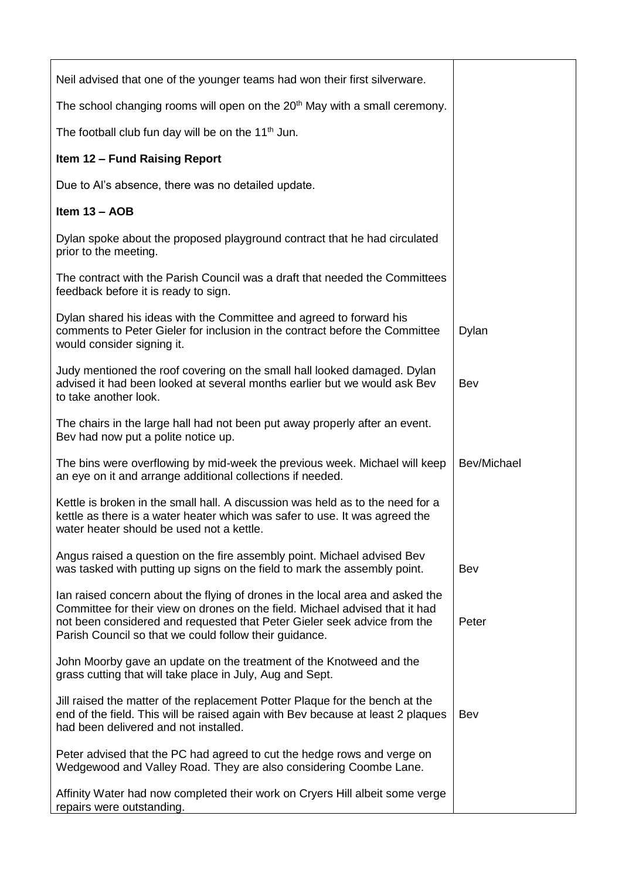| Neil advised that one of the younger teams had won their first silverware.                                                                                                                                                                                                                          |             |
|-----------------------------------------------------------------------------------------------------------------------------------------------------------------------------------------------------------------------------------------------------------------------------------------------------|-------------|
| The school changing rooms will open on the 20 <sup>th</sup> May with a small ceremony.                                                                                                                                                                                                              |             |
| The football club fun day will be on the 11 <sup>th</sup> Jun.                                                                                                                                                                                                                                      |             |
| <b>Item 12 - Fund Raising Report</b>                                                                                                                                                                                                                                                                |             |
| Due to Al's absence, there was no detailed update.                                                                                                                                                                                                                                                  |             |
| Item $13 - AOB$                                                                                                                                                                                                                                                                                     |             |
| Dylan spoke about the proposed playground contract that he had circulated<br>prior to the meeting.                                                                                                                                                                                                  |             |
| The contract with the Parish Council was a draft that needed the Committees<br>feedback before it is ready to sign.                                                                                                                                                                                 |             |
| Dylan shared his ideas with the Committee and agreed to forward his<br>comments to Peter Gieler for inclusion in the contract before the Committee<br>would consider signing it.                                                                                                                    | Dylan       |
| Judy mentioned the roof covering on the small hall looked damaged. Dylan<br>advised it had been looked at several months earlier but we would ask Bev<br>to take another look.                                                                                                                      | Bev         |
| The chairs in the large hall had not been put away properly after an event.<br>Bev had now put a polite notice up.                                                                                                                                                                                  |             |
| The bins were overflowing by mid-week the previous week. Michael will keep<br>an eye on it and arrange additional collections if needed.                                                                                                                                                            | Bev/Michael |
| Kettle is broken in the small hall. A discussion was held as to the need for a<br>kettle as there is a water heater which was safer to use. It was agreed the<br>water heater should be used not a kettle.                                                                                          |             |
| Angus raised a question on the fire assembly point. Michael advised Bev<br>was tasked with putting up signs on the field to mark the assembly point.                                                                                                                                                | Bev         |
| Ian raised concern about the flying of drones in the local area and asked the<br>Committee for their view on drones on the field. Michael advised that it had<br>not been considered and requested that Peter Gieler seek advice from the<br>Parish Council so that we could follow their guidance. | Peter       |
| John Moorby gave an update on the treatment of the Knotweed and the<br>grass cutting that will take place in July, Aug and Sept.                                                                                                                                                                    |             |
| Jill raised the matter of the replacement Potter Plaque for the bench at the<br>end of the field. This will be raised again with Bev because at least 2 plaques<br>had been delivered and not installed.                                                                                            | Bev         |
| Peter advised that the PC had agreed to cut the hedge rows and verge on<br>Wedgewood and Valley Road. They are also considering Coombe Lane.                                                                                                                                                        |             |
| Affinity Water had now completed their work on Cryers Hill albeit some verge<br>repairs were outstanding.                                                                                                                                                                                           |             |
|                                                                                                                                                                                                                                                                                                     |             |